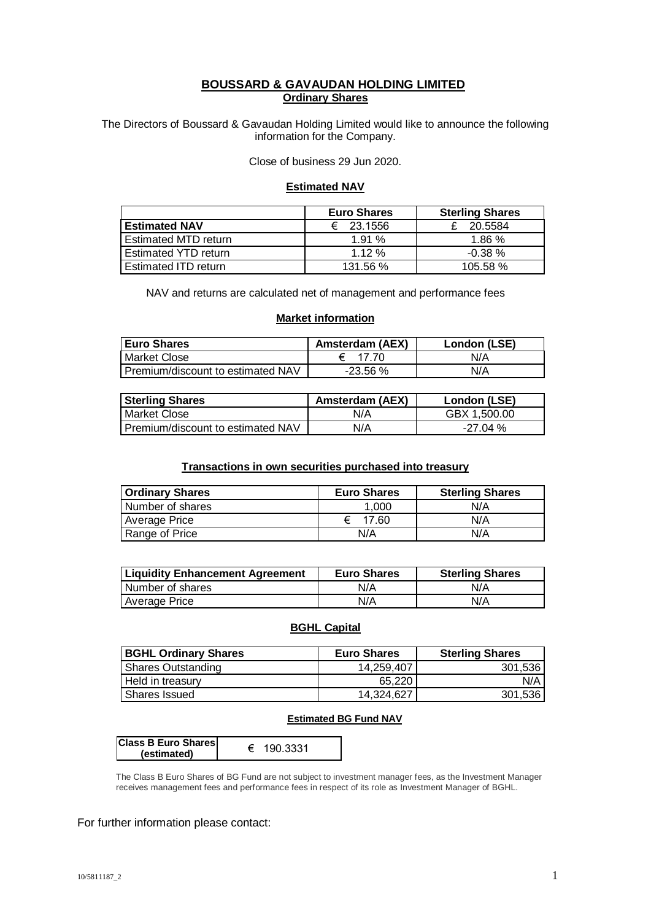### **BOUSSARD & GAVAUDAN HOLDING LIMITED Ordinary Shares**

The Directors of Boussard & Gavaudan Holding Limited would like to announce the following information for the Company.

Close of business 29 Jun 2020.

#### **Estimated NAV**

|                      | <b>Euro Shares</b> | <b>Sterling Shares</b> |
|----------------------|--------------------|------------------------|
| <b>Estimated NAV</b> | € 23.1556          | 20.5584                |
| Estimated MTD return | 1.91%              | 1.86%                  |
| Estimated YTD return | 1.12%              | $-0.38%$               |
| Estimated ITD return | 131.56 %           | 105.58%                |

NAV and returns are calculated net of management and performance fees

### **Market information**

| <b>Euro Shares</b>                  | <b>Amsterdam (AEX)</b> | London (LSE) |
|-------------------------------------|------------------------|--------------|
| Market Close                        |                        | N/A          |
| l Premium/discount to estimated NAV | -23.56 %               | N/A          |

| <b>Sterling Shares</b>            | <b>Amsterdam (AEX)</b> | London (LSE) |
|-----------------------------------|------------------------|--------------|
| l Market Close                    | N/A                    | GBX 1.500.00 |
| Premium/discount to estimated NAV | N/A                    | -27.04 %     |

### **Transactions in own securities purchased into treasury**

| <b>Ordinary Shares</b> | <b>Euro Shares</b> | <b>Sterling Shares</b> |
|------------------------|--------------------|------------------------|
| Number of shares       | 1.000              | N/A                    |
| Average Price          | 17.60              | N/A                    |
| Range of Price         | N/A                | N/A                    |

| <b>Liquidity Enhancement Agreement</b> | <b>Euro Shares</b> | <b>Sterling Shares</b> |
|----------------------------------------|--------------------|------------------------|
| Number of shares                       | N/A                | N/A                    |
| <b>Average Price</b>                   | N/A                | N/A                    |

## **BGHL Capital**

| BGHL Ordinary Shares      | <b>Euro Shares</b> | <b>Sterling Shares</b> |
|---------------------------|--------------------|------------------------|
| <b>Shares Outstanding</b> | 14.259.407         | 301.536                |
| Held in treasury          | 65.220             | N/A                    |
| Shares Issued             | 14.324.627         | 301,536                |

#### **Estimated BG Fund NAV**

| <b>Class B Euro Shares</b> |          |  |
|----------------------------|----------|--|
| (estimated)                | 190.3331 |  |

The Class B Euro Shares of BG Fund are not subject to investment manager fees, as the Investment Manager receives management fees and performance fees in respect of its role as Investment Manager of BGHL.

#### For further information please contact: